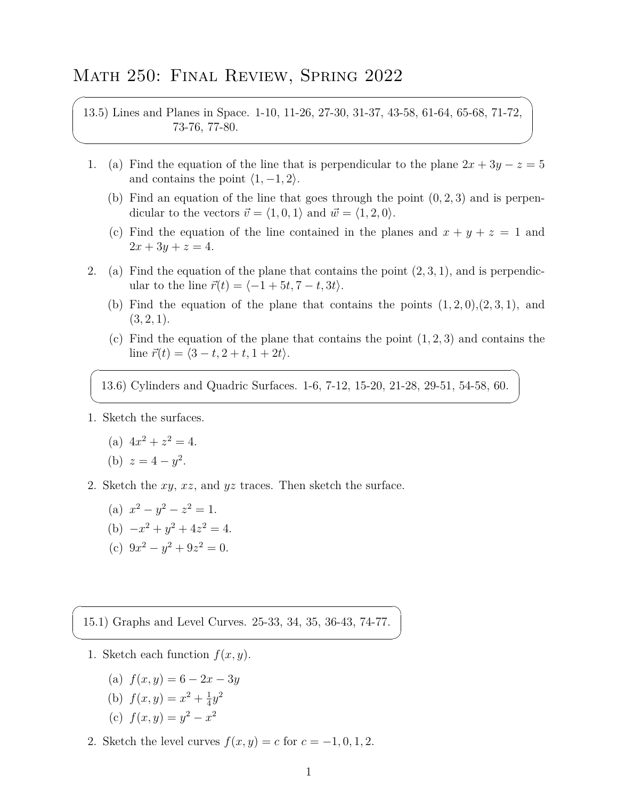## Math 250: Final Review, Spring 2022

13.5) Lines and Planes in Space. 1-10, 11-26, 27-30, 31-37, 43-58, 61-64, 65-68, 71-72, 73-76, 77-80.

- 1. (a) Find the equation of the line that is perpendicular to the plane  $2x + 3y z = 5$ and contains the point  $\langle 1, -1, 2 \rangle$ .
	- (b) Find an equation of the line that goes through the point (0*,* 2*,* 3) and is perpendicular to the vectors  $\vec{v} = \langle 1, 0, 1 \rangle$  and  $\vec{w} = \langle 1, 2, 0 \rangle$ .
	- (c) Find the equation of the line contained in the planes and  $x + y + z = 1$  and  $2x + 3y + z = 4.$
- 2. (a) Find the equation of the plane that contains the point (2*,* 3*,* 1), and is perpendicular to the line  $\vec{r}(t) = \langle -1 + 5t, 7 - t, 3t \rangle$ .
	- (b) Find the equation of the plane that contains the points  $(1, 2, 0), (2, 3, 1),$  and  $(3, 2, 1).$
	- (c) Find the equation of the plane that contains the point (1*,* 2*,* 3) and contains the  $\text{line } \vec{r}(t) = \langle 3 - t, 2 + t, 1 + 2t \rangle.$

13.6) Cylinders and Quadric Surfaces. 1-6, 7-12, 15-20, 21-28, 29-51, 54-58, 60.

1. Sketch the surfaces.

 $\overline{a}$ 

✍

 $\sqrt{2}$ 

✍

 $\overline{\phantom{0}}$ 

✖

(a)  $4x^2 + z^2 = 4$ .

(b) 
$$
z = 4 - y^2
$$
.

- 2. Sketch the *xy*, *xz*, and *yz* traces. Then sketch the surface.
	- (a)  $x^2 y^2 z^2 = 1$ . (b)  $-x^2 + y^2 + 4z^2 = 4$ . (c)  $9x^2 - y^2 + 9z^2 = 0.$

15.1) Graphs and Level Curves. 25-33, 34, 35, 36-43, 74-77.

- 1. Sketch each function  $f(x, y)$ .
	- (a) *f*(*x, y*) = 6 *−* 2*x −* 3*y*
	- (b)  $f(x,y) = x^2 + \frac{1}{4}$  $\frac{1}{4}y^2$
	- (c)  $f(x, y) = y^2 x^2$
- 2. Sketch the level curves  $f(x, y) = c$  for  $c = -1, 0, 1, 2$ .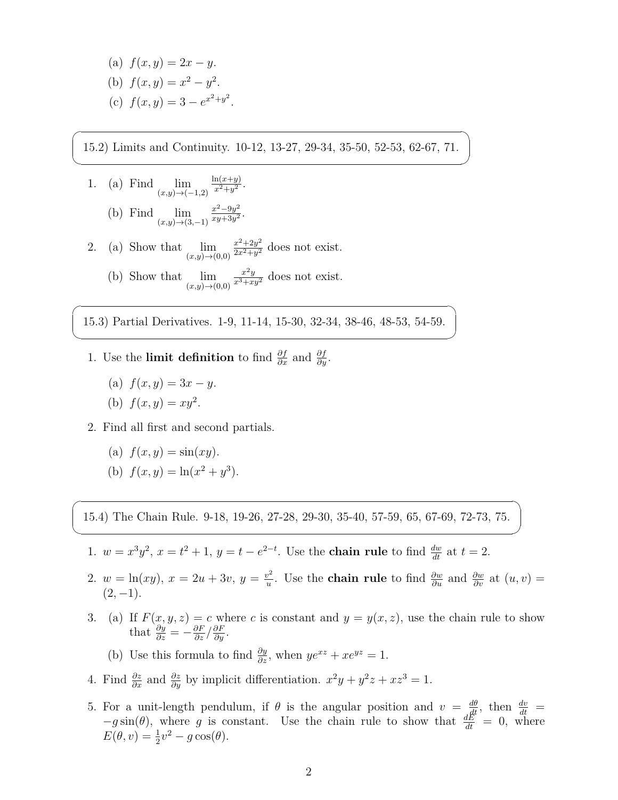(a) 
$$
f(x, y) = 2x - y
$$
.  
\n(b)  $f(x, y) = x^2 - y^2$ .  
\n(c)  $f(x, y) = 3 - e^{x^2 + y^2}$ 

15.2) Limits and Continuity. 10-12, 13-27, 29-34, 35-50, 52-53, 62-67, 71.

.

1. (a) Find (*x,y*)*→*(*−*1*,*2)  $ln(x+y)$  $x^2+y^2$ .

 $\sqrt{2}$ 

✍

 $\overline{\phantom{0}}$ 

✍

 $\sqrt{2}$ 

✍

- (b) Find lim (*x,y*)*→*(3*,−*1) *x* <sup>2</sup>*−*9*<sup>y</sup>* 2  $\frac{x^2-9y^2}{xy+3y^2}$ .
- 2. (a) Show that lim (*x,y*)*→*(0*,*0)  $x^2 + 2y^2$  $\frac{x^2+2y^2}{2x^2+y^2}$  does not exist. (b) Show that lim  $\frac{x^2y}{x^3+xy^2}$  does not exist.

(*x,y*)*→*(0*,*0)

15.3) Partial Derivatives. 1-9, 11-14, 15-30, 32-34, 38-46, 48-53, 54-59.

- 1. Use the **limit definition** to find  $\frac{\partial f}{\partial x}$  and  $\frac{\partial f}{\partial y}$ .
	- (a)  $f(x, y) = 3x y$ .
	- (b)  $f(x, y) = xy^2$ .
- 2. Find all first and second partials.
	- (a)  $f(x, y) = \sin(xy)$ . (b)  $f(x, y) = \ln(x^2 + y^3)$ .

15.4) The Chain Rule. 9-18, 19-26, 27-28, 29-30, 35-40, 57-59, 65, 67-69, 72-73, 75.

- 1.  $w = x^3 y^2$ ,  $x = t^2 + 1$ ,  $y = t e^{2-t}$ . Use the **chain rule** to find  $\frac{dw}{dt}$  at  $t = 2$ .
- 2.  $w = \ln(xy), x = 2u + 3v, y = \frac{v^2}{u}$ *u*<sup>2</sup>. Use the **chain rule** to find  $\frac{\partial w}{\partial u}$  and  $\frac{\partial w}{\partial v}$  at  $(u, v)$  =  $(2, -1)$ .
- 3. (a) If  $F(x, y, z) = c$  where *c* is constant and  $y = y(x, z)$ , use the chain rule to show that  $\frac{\partial y}{\partial z} = -\frac{\partial F}{\partial z} / \frac{\partial F}{\partial y}$ .

(b) Use this formula to find  $\frac{\partial y}{\partial z}$ , when  $ye^{xz} + xe^{yz} = 1$ .

- 4. Find  $\frac{\partial z}{\partial x}$  and  $\frac{\partial z}{\partial y}$  by implicit differentiation.  $x^2y + y^2z + xz^3 = 1$ .
- 5. For a unit-length pendulum, if  $\theta$  is the angular position and  $v = \frac{d\theta}{dt}$ , then  $\frac{dv}{dt}$  $-g \sin(\theta)$ , where *g* is constant. Use the chain rule to show that  $\frac{dE}{dt} = 0$ , where  $E(\theta, v) = \frac{1}{2}v^2 - g\cos(\theta).$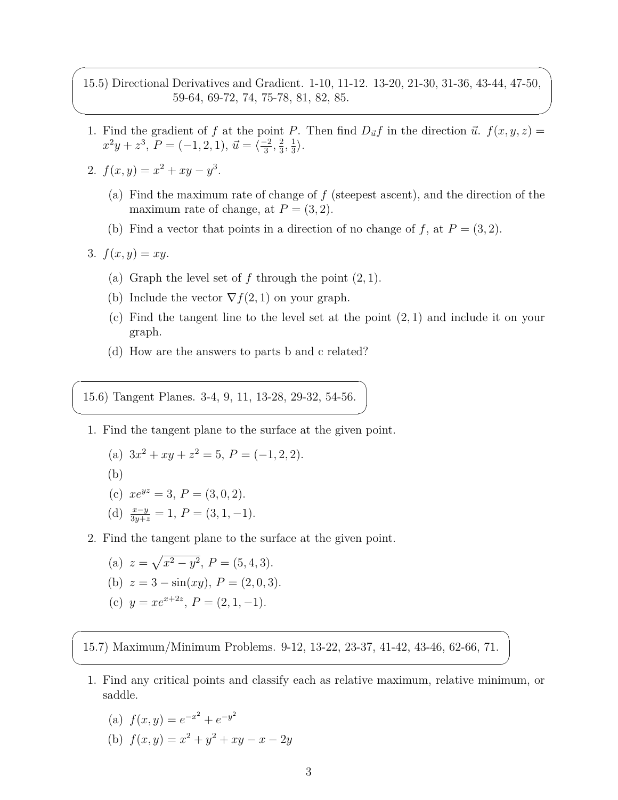15.5) Directional Derivatives and Gradient. 1-10, 11-12. 13-20, 21-30, 31-36, 43-44, 47-50, 59-64, 69-72, 74, 75-78, 81, 82, 85.

- 1. Find the gradient of *f* at the point *P*. Then find  $D_{\vec{u}}f$  in the direction  $\vec{u}$ .  $f(x, y, z) =$  $x^2y + z^3$ ,  $P = (-1, 2, 1)$ ,  $\vec{u} = \langle \frac{-2}{3}, \frac{2}{3} \rangle$  $\frac{2}{3}, \frac{1}{3}$  $\frac{1}{3}$ .
- 2.  $f(x,y) = x^2 + xy y^3$ .
	- (a) Find the maximum rate of change of *f* (steepest ascent), and the direction of the maximum rate of change, at  $P = (3, 2)$ .
	- (b) Find a vector that points in a direction of no change of  $f$ , at  $P = (3, 2)$ .
- 3.  $f(x, y) = xy$ .

 $\overline{\phantom{0}}$ 

 $\overbrace{\phantom{aaaa}}$ 

 $\overline{\phantom{0}}$ 

✍

 $\overline{a}$ 

✍

- (a) Graph the level set of *f* through the point (2*,* 1).
- (b) Include the vector  $\nabla f(2,1)$  on your graph.
- (c) Find the tangent line to the level set at the point (2*,* 1) and include it on your graph.
- (d) How are the answers to parts b and c related?

15.6) Tangent Planes. 3-4, 9, 11, 13-28, 29-32, 54-56.

1. Find the tangent plane to the surface at the given point.

(a) 
$$
3x^2 + xy + z^2 = 5
$$
,  $P = (-1, 2, 2)$ .  
\n(b)  
\n(c)  $xe^{yz} = 3$ ,  $P = (3, 0, 2)$ .  
\n(d)  $\frac{x-y}{3y+z} = 1$ ,  $P = (3, 1, -1)$ .

2. Find the tangent plane to the surface at the given point.

(a) 
$$
z = \sqrt{x^2 - y^2}
$$
,  $P = (5, 4, 3)$ .

(b) 
$$
z = 3 - \sin(xy), P = (2, 0, 3).
$$

(c) 
$$
y = xe^{x+2z}
$$
,  $P = (2, 1, -1)$ .

15.7) Maximum/Minimum Problems. 9-12, 13-22, 23-37, 41-42, 43-46, 62-66, 71.

1. Find any critical points and classify each as relative maximum, relative minimum, or saddle.

(a) 
$$
f(x, y) = e^{-x^2} + e^{-y^2}
$$

(b)  $f(x, y) = x^2 + y^2 + xy - x - 2y$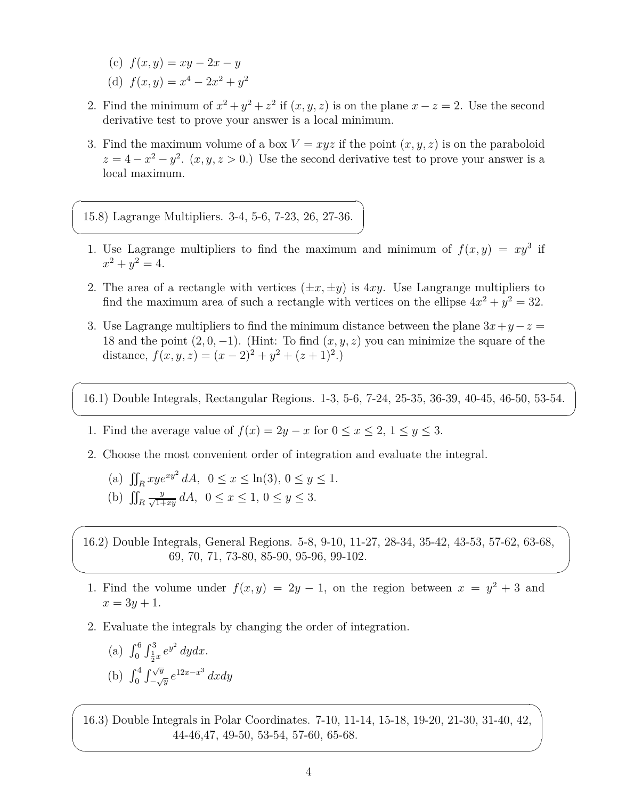- $f(x, y) = xy 2x y$
- (d)  $f(x, y) = x^4 2x^2 + y^2$

 $\sqrt{2}$ 

✍

 $\sqrt{2}$ 

✍

 $\overline{\phantom{0}}$ 

 $\overbrace{\phantom{aaaa}}$ 

 $\overline{\phantom{0}}$ 

 $\overline{\phantom{a}}$ 

- 2. Find the minimum of  $x^2 + y^2 + z^2$  if  $(x, y, z)$  is on the plane  $x z = 2$ . Use the second derivative test to prove your answer is a local minimum.
- 3. Find the maximum volume of a box  $V = xyz$  if the point  $(x, y, z)$  is on the paraboloid  $z = 4 - x^2 - y^2$ . (*x, y, z* > 0.) Use the second derivative test to prove your answer is a local maximum.

15.8) Lagrange Multipliers. 3-4, 5-6, 7-23, 26, 27-36.

- 1. Use Lagrange multipliers to find the maximum and minimum of  $f(x, y) = xy^3$  if  $x^2 + y^2 = 4.$
- 2. The area of a rectangle with vertices  $(\pm x, \pm y)$  is 4xy. Use Langrange multipliers to find the maximum area of such a rectangle with vertices on the ellipse  $4x^2 + y^2 = 32$ .
- 3. Use Lagrange multipliers to find the minimum distance between the plane  $3x + y z =$ 18 and the point  $(2, 0, -1)$ . (Hint: To find  $(x, y, z)$  you can minimize the square of the distance,  $f(x, y, z) = (x - 2)^2 + y^2 + (z + 1)^2$ .
- 16.1) Double Integrals, Rectangular Regions. 1-3, 5-6, 7-24, 25-35, 36-39, 40-45, 46-50, 53-54.
- 1. Find the average value of  $f(x) = 2y x$  for  $0 \le x \le 2, 1 \le y \le 3$ .
- 2. Choose the most convenient order of integration and evaluate the integral.

(a) 
$$
\iint_R xy e^{xy^2} dA
$$
,  $0 \le x \le \ln(3)$ ,  $0 \le y \le 1$ .  
\n(b)  $\iint_R \frac{y}{\sqrt{1+xy}} dA$ ,  $0 \le x \le 1$ ,  $0 \le y \le 3$ .

16.2) Double Integrals, General Regions. 5-8, 9-10, 11-27, 28-34, 35-42, 43-53, 57-62, 63-68, 69, 70, 71, 73-80, 85-90, 95-96, 99-102.

- 1. Find the volume under  $f(x, y) = 2y 1$ , on the region between  $x = y^2 + 3$  and  $x = 3y + 1.$
- 2. Evaluate the integrals by changing the order of integration.
	- (a)  $\int_0^6 \int_{\frac{1}{2}x}^3 e^{y^2} dy dx$ . (b)  $\int_0^4 \int_{-\sqrt{y}}^{\sqrt{y}}$ *− √y e* 12*x−x* 3 *dxdy*

16.3) Double Integrals in Polar Coordinates. 7-10, 11-14, 15-18, 19-20, 21-30, 31-40, 42, 44-46,47, 49-50, 53-54, 57-60, 65-68.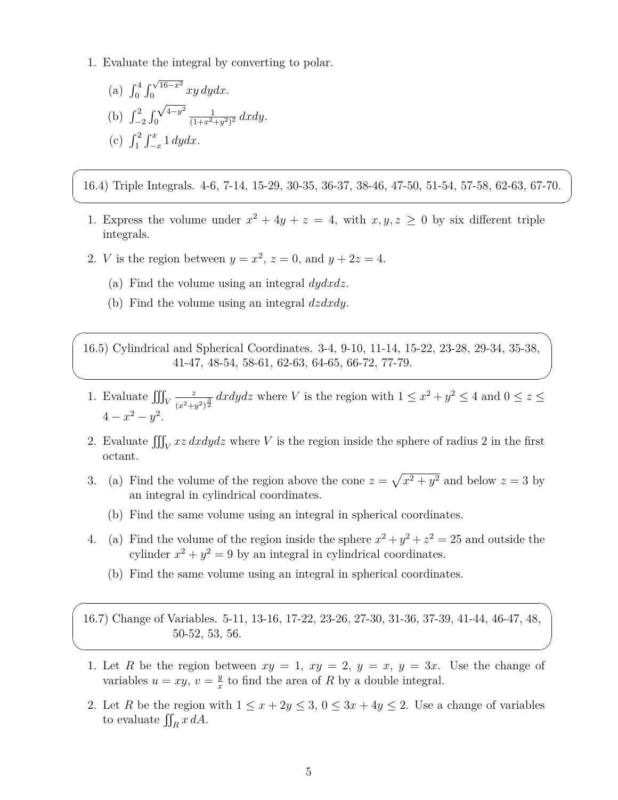1. Evaluate the integral by converting to polar.

(a) 
$$
\int_0^4 \int_0^{\sqrt{16-x^2}} xy \, dy dx
$$
.  
\n(b)  $\int_{-2}^2 \int_0^{\sqrt{4-y^2}} \frac{1}{(1+x^2+y^2)^2} \, dx dy$ .  
\n(c)  $\int_1^2 \int_{-x}^x 1 \, dy dx$ .

 $\overline{a}$ 

✍

 $\overline{\phantom{0}}$ 

✖

 $\overline{\phantom{0}}$ 

 $\searrow$ 

16.4) Triple Integrals. 4-6, 7-14, 15-29, 30-35, 36-37, 38-46, 47-50, 51-54, 57-58, 62-63, 67-70.

- 1. Express the volume under  $x^2 + 4y + z = 4$ , with  $x, y, z \ge 0$  by six different triple integrals.
- 2. *V* is the region between  $y = x^2$ ,  $z = 0$ , and  $y + 2z = 4$ .
	- (a) Find the volume using an integral *dydxdz*.
	- (b) Find the volume using an integral *dzdxdy*.

16.5) Cylindrical and Spherical Coordinates. 3-4, 9-10, 11-14, 15-22, 23-28, 29-34, 35-38, 41-47, 48-54, 58-61, 62-63, 64-65, 66-72, 77-79.

- 1. Evaluate  $\iiint_V$ *z*  $\frac{z}{(x^2+y^2)^{\frac{3}{2}}}$  dxdydz where *V* is the region with  $1 \leq x^2+y^2 \leq 4$  and  $0 \leq z \leq$  $4 - x^2 - y^2$ .
- 2. Evaluate  $\iiint_V xz \, dxdydz$  where *V* is the region inside the sphere of radius 2 in the first octant.
- 3. (a) Find the volume of the region above the cone  $z = \sqrt{x^2 + y^2}$  and below  $z = 3$  by an integral in cylindrical coordinates.
	- (b) Find the same volume using an integral in spherical coordinates.
- 4. (a) Find the volume of the region inside the sphere  $x^2 + y^2 + z^2 = 25$  and outside the cylinder  $x^2 + y^2 = 9$  by an integral in cylindrical coordinates.
	- (b) Find the same volume using an integral in spherical coordinates.

16.7) Change of Variables. 5-11, 13-16, 17-22, 23-26, 27-30, 31-36, 37-39, 41-44, 46-47, 48, 50-52, 53, 56.

- 1. Let R be the region between  $xy = 1$ ,  $xy = 2$ ,  $y = x$ ,  $y = 3x$ . Use the change of variables  $u = xy, v = \frac{y}{x}$  $\frac{y}{x}$  to find the area of *R* by a double integral.
- 2. Let *R* be the region with  $1 \leq x + 2y \leq 3$ ,  $0 \leq 3x + 4y \leq 2$ . Use a change of variables to evaluate  $\iint_R x \, dA$ .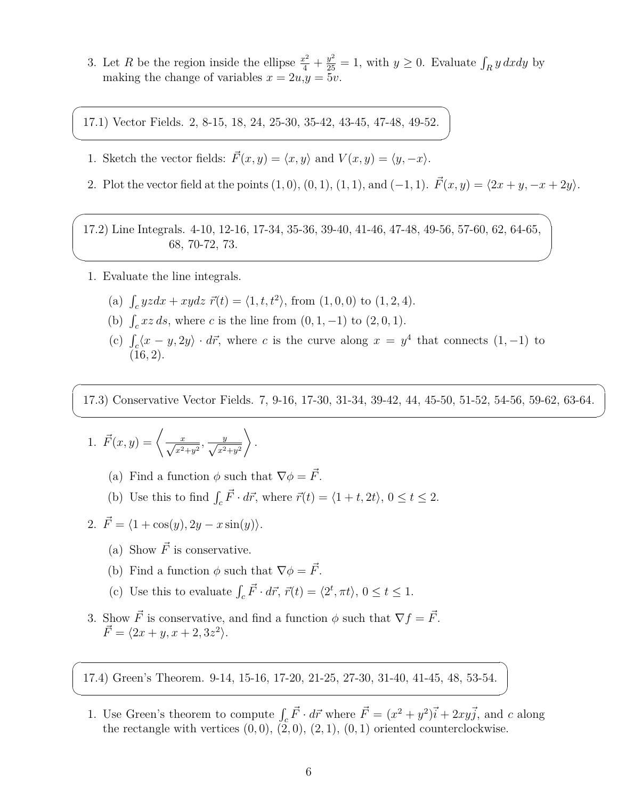3. Let *R* be the region inside the ellipse  $\frac{x^2}{4} + \frac{y^2}{25} = 1$ , with  $y \ge 0$ . Evaluate  $\int_R y \, dx dy$  by making the change of variables  $x = 2u, y = 5v$ .

17.1) Vector Fields. 2, 8-15, 18, 24, 25-30, 35-42, 43-45, 47-48, 49-52.

- 1. Sketch the vector fields:  $\vec{F}(x, y) = \langle x, y \rangle$  and  $V(x, y) = \langle y, -x \rangle$ .
- 2. Plot the vector field at the points  $(1, 0), (0, 1), (1, 1),$  and  $(-1, 1)$ .  $\vec{F}(x, y) = \langle 2x + y, -x + 2y \rangle$ .

17.2) Line Integrals. 4-10, 12-16, 17-34, 35-36, 39-40, 41-46, 47-48, 49-56, 57-60, 62, 64-65, 68, 70-72, 73.

1. Evaluate the line integrals.

 $\sqrt{2}$ 

✍

 $\sqrt{2}$ 

 $\overline{\phantom{a}}$ 

 $\sqrt{2}$ 

✍

 $\overline{a}$ 

✍

- (a)  $\int_c yzdx + xydz \, \vec{r}(t) = \langle 1, t, t^2 \rangle$ , from  $(1, 0, 0)$  to  $(1, 2, 4)$ .
- (b)  $\int_{c} xz \, ds$ , where *c* is the line from  $(0, 1, -1)$  to  $(2, 0, 1)$ .
- (c)  $\int_c \langle x-y, 2y \rangle \cdot d\vec{r}$ , where *c* is the curve along  $x = y^4$  that connects  $(1, -1)$  to (16*,* 2).

17.3) Conservative Vector Fields. 7, 9-16, 17-30, 31-34, 39-42, 44, 45-50, 51-52, 54-56, 59-62, 63-64.

1. 
$$
\vec{F}(x, y) = \left\langle \frac{x}{\sqrt{x^2 + y^2}}, \frac{y}{\sqrt{x^2 + y^2}} \right\rangle
$$
.

- (a) Find a function  $\phi$  such that  $\nabla \phi = \vec{F}$ .
- (b) Use this to find  $\int_c \vec{F} \cdot d\vec{r}$ , where  $\vec{r}(t) = \langle 1 + t, 2t \rangle$ ,  $0 \le t \le 2$ .

2. 
$$
\vec{F} = \langle 1 + \cos(y), 2y - x \sin(y) \rangle.
$$

- (a) Show  $\vec{F}$  is conservative.
- (b) Find a function  $\phi$  such that  $\nabla \phi = \vec{F}$ .
- (c) Use this to evaluate  $\int_c \vec{F} \cdot d\vec{r}$ ,  $\vec{r}(t) = \langle 2^t, \pi t \rangle$ ,  $0 \le t \le 1$ .
- 3. Show  $\vec{F}$  is conservative, and find a function  $\phi$  such that  $\nabla f = \vec{F}$ .  $\vec{F} = \langle 2x + y, x + 2, 3z^2 \rangle.$

17.4) Green's Theorem. 9-14, 15-16, 17-20, 21-25, 27-30, 31-40, 41-45, 48, 53-54.

1. Use Green's theorem to compute  $\int_c \vec{F} \cdot d\vec{r}$  where  $\vec{F} = (x^2 + y^2)\vec{i} + 2xy\vec{j}$ , and *c* along the rectangle with vertices  $(0,0), (2,0), (2,1), (0,1)$  oriented counterclockwise.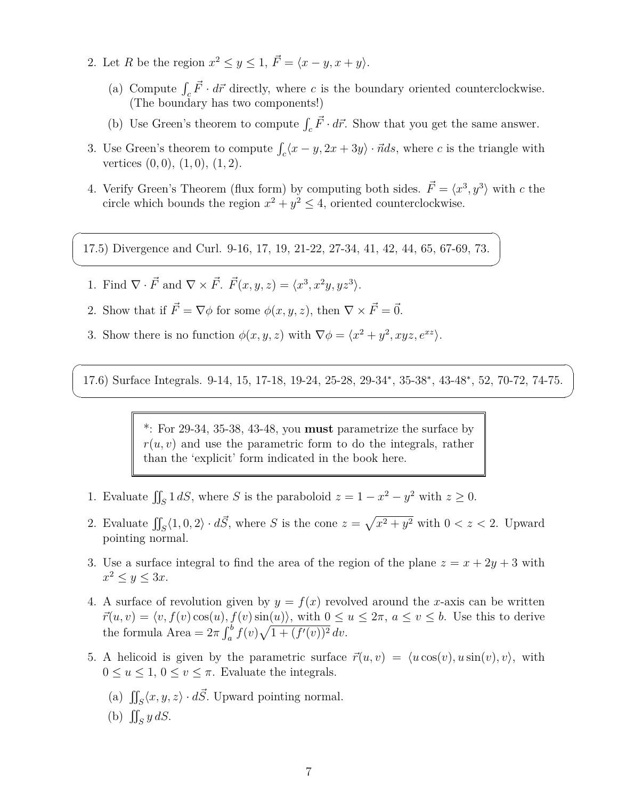- 2. Let *R* be the region  $x^2 \le y \le 1$ ,  $\vec{F} = \langle x y, x + y \rangle$ .
	- (a) Compute  $\int_c \vec{F} \cdot d\vec{r}$  directly, where *c* is the boundary oriented counterclockwise. (The boundary has two components!)
	- (b) Use Green's theorem to compute  $\int_c \vec{F} \cdot d\vec{r}$ . Show that you get the same answer.
- 3. Use Green's theorem to compute  $\int_c \langle x y, 2x + 3y \rangle \cdot \vec{n} ds$ , where *c* is the triangle with vertices (0*,* 0), (1*,* 0), (1*,* 2).
- 4. Verify Green's Theorem (flux form) by computing both sides.  $\vec{F} = \langle x^3, y^3 \rangle$  with *c* the circle which bounds the region  $x^2 + y^2 \le 4$ , oriented counterclockwise.

17.5) Divergence and Curl. 9-16, 17, 19, 21-22, 27-34, 41, 42, 44, 65, 67-69, 73.

1. Find  $\nabla \cdot \vec{F}$  and  $\nabla \times \vec{F}$ .  $\vec{F}(x, y, z) = \langle x^3, x^2y, yz^3 \rangle$ .

 $\sqrt{2}$ 

✍

 $\sqrt{2}$ 

✍

- 2. Show that if  $\vec{F} = \nabla \phi$  for some  $\phi(x, y, z)$ , then  $\nabla \times \vec{F} = \vec{0}$ .
- 3. Show there is no function  $\phi(x, y, z)$  with  $\nabla \phi = \langle x^2 + y^2, xyz, e^{xz} \rangle$ .

17.6) Surface Integrals. 9-14, 15, 17-18, 19-24, 25-28, 29-34*<sup>∗</sup>* , 35-38*<sup>∗</sup>* , 43-48*<sup>∗</sup>* , 52, 70-72, 74-75.

\*: For 29-34, 35-38, 43-48, you **must** parametrize the surface by  $r(u, v)$  and use the parametric form to do the integrals, rather than the 'explicit' form indicated in the book here.

- 1. Evaluate  $\iint_S 1 \, dS$ , where *S* is the paraboloid  $z = 1 x^2 y^2$  with  $z \ge 0$ .
- 2. Evaluate  $\iint_S \langle 1, 0, 2 \rangle \cdot d\vec{S}$ , where *S* is the cone  $z = \sqrt{x^2 + y^2}$  with  $0 < z < 2$ . Upward pointing normal.
- 3. Use a surface integral to find the area of the region of the plane  $z = x + 2y + 3$  with  $x^2 \leq y \leq 3x$ .
- 4. A surface of revolution given by  $y = f(x)$  revolved around the *x*-axis can be written  $\vec{r}(u, v) = \langle v, f(v) \cos(u), f(v) \sin(u) \rangle$ , with  $0 \le u \le 2\pi$ ,  $a \le v \le b$ . Use this to derive the formula Area =  $2\pi \int_a^b f(v) \sqrt{1 + (f'(v))^2} dv$ .
- 5. A helicoid is given by the parametric surface  $\vec{r}(u, v) = \langle u \cos(v), u \sin(v), v \rangle$ , with  $0 \le u \le 1, 0 \le v \le \pi$ . Evaluate the integrals.
	- (a)  $\iint_S \langle x, y, z \rangle \cdot d\vec{S}$ . Upward pointing normal.
	- (b)  $\iint_S y dS$ .